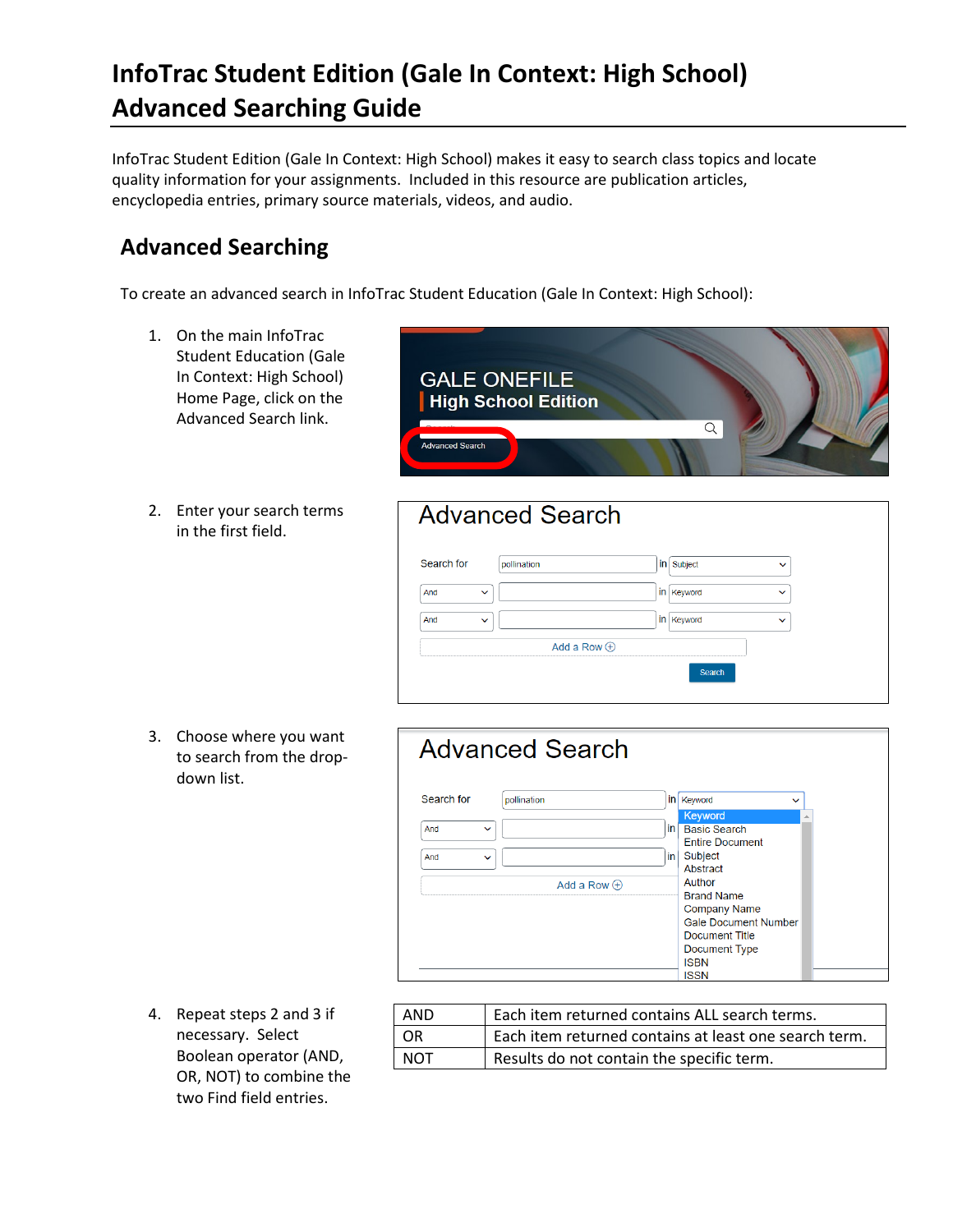## **InfoTrac Student Edition (Gale In Context: High School) Advanced Searching Guide**

InfoTrac Student Edition (Gale In Context: High School) makes it easy to search class topics and locate quality information for your assignments. Included in this resource are publication articles, encyclopedia entries, primary source materials, videos, and audio.

### **Advanced Searching**

To create an advanced search in InfoTrac Student Education (Gale In Context: High School):

- 1. On the main InfoTrac Student Education (Gale In Context: High School) Home Page, click on the Advanced Search link.
- 2. Enter your search terms in the first field.



#### **Advanced Search**

| Search for          | pollination        | in Subject   | $\checkmark$ |  |
|---------------------|--------------------|--------------|--------------|--|
| And<br>$\checkmark$ |                    | in Keyword   | $\checkmark$ |  |
| And<br>$\checkmark$ |                    | in   Keyword | $\checkmark$ |  |
|                     | Add a Row $\oplus$ |              |              |  |
|                     |                    | Search       |              |  |

3. Choose where you want to search from the dropdown list.

| Search for<br>Keyword<br>pollination<br>inl<br>$\checkmark$                                                                                                      |
|------------------------------------------------------------------------------------------------------------------------------------------------------------------|
| Keyword                                                                                                                                                          |
| in l<br><b>Basic Search</b><br>And<br>$\checkmark$<br><b>Entire Document</b><br>Subject<br>in l<br>And<br>$\checkmark$<br>Abstract                               |
| Author<br>Add a Row $\oplus$<br><b>Brand Name</b><br><b>Company Name</b><br><b>Gale Document Number</b><br>Document Title<br><b>Document Type</b><br><b>ISBN</b> |

4. Repeat steps 2 and 3 if necessary. Select Boolean operator (AND, OR, NOT) to combine the two Find field entries.

| AND        | Each item returned contains ALL search terms.         |  |
|------------|-------------------------------------------------------|--|
| -OR        | Each item returned contains at least one search term. |  |
| <b>NOT</b> | Results do not contain the specific term.             |  |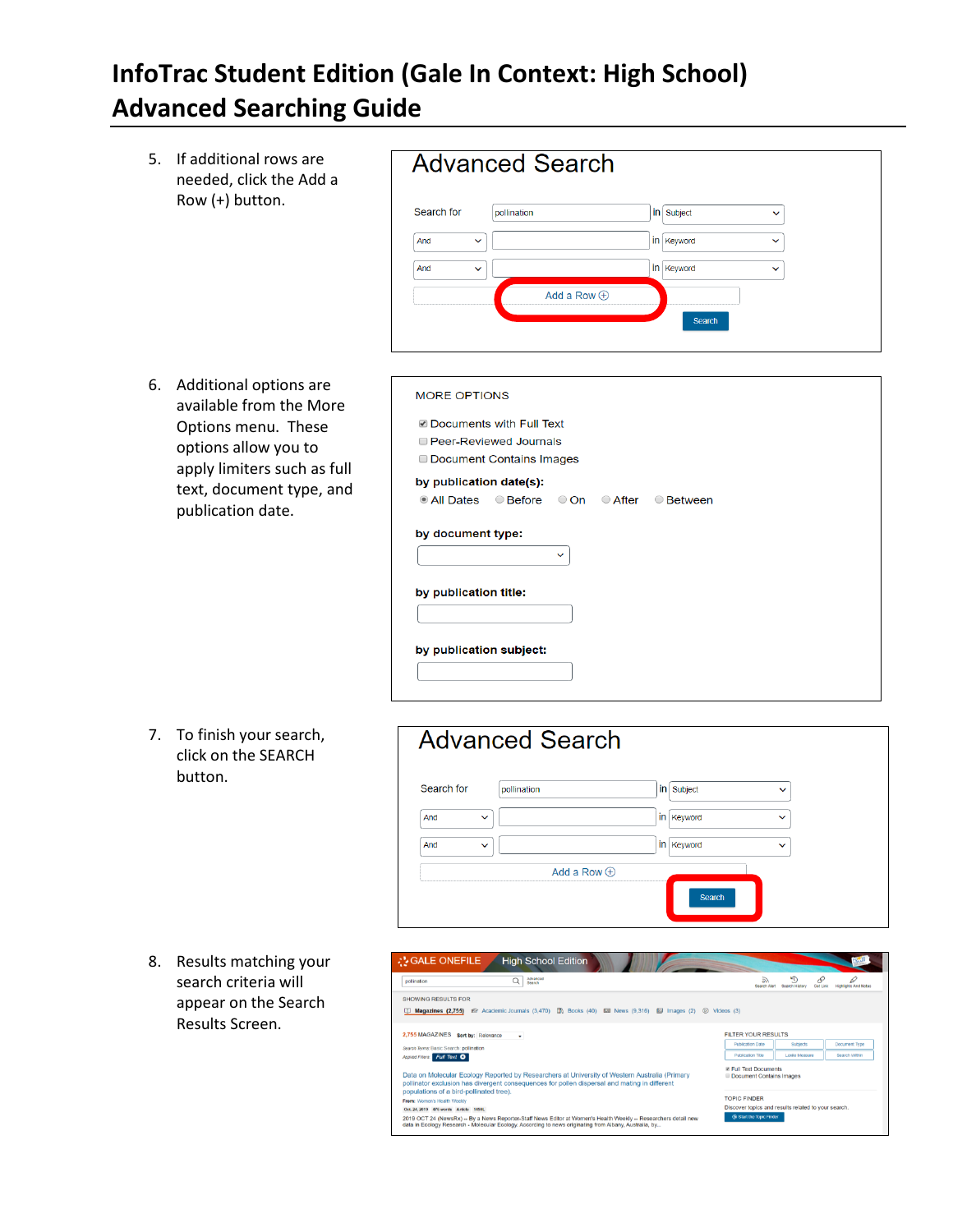# **InfoTrac Student Edition (Gale In Context: High School) Advanced Searching Guide**

5. If additional rows are needed, click the Add a Row (+) button.

|                     | <b>Advanced Search</b> |            |              |
|---------------------|------------------------|------------|--------------|
| Search for          | pollination            | in Subject | $\checkmark$ |
| And<br>$\checkmark$ |                        | in Keyword | $\checkmark$ |
| And<br>$\checkmark$ |                        | in Keyword | $\checkmark$ |
|                     | Add a Row $\oplus$     |            |              |
|                     |                        | Search     |              |
|                     |                        |            |              |

6. Additional options are available from the More Options menu. These options allow you to apply limiters such as full text, document type, and publication date.

| <b>MORE OPTIONS</b>                                         |
|-------------------------------------------------------------|
| ■ Documents with Full Text                                  |
| <b>Peer-Reviewed Journals</b>                               |
| <b>Document Contains Images</b>                             |
| by publication date(s):                                     |
| All Dates<br>○ Before<br>○ On<br>$\circ$ After<br>○ Between |
| by document type:<br>$\checkmark$                           |
| by publication title:                                       |
| by publication subject:                                     |
|                                                             |

7. To finish your search, click on the SEARCH button.



8. Results matching your search criteria will appear on the Search Results Screen.